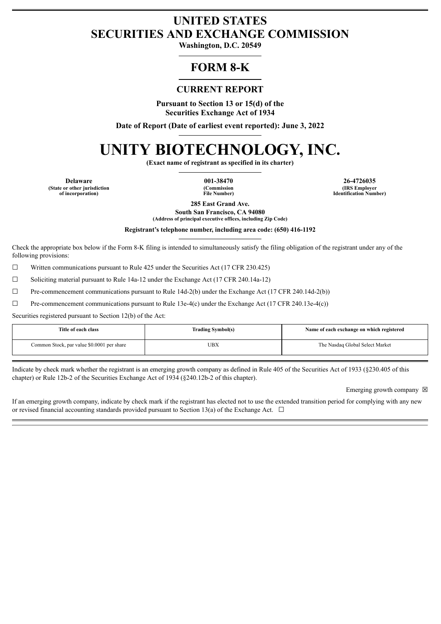# **UNITED STATES SECURITIES AND EXCHANGE COMMISSION**

**Washington, D.C. 20549**

## **FORM 8-K**

## **CURRENT REPORT**

**Pursuant to Section 13 or 15(d) of the Securities Exchange Act of 1934**

**Date of Report (Date of earliest event reported): June 3, 2022**

# **UNITY BIOTECHNOLOGY, INC.**

**(Exact name of registrant as specified in its charter)**

**(State or other jurisdiction of incorporation)**

**(Commission File Number)**

**Delaware 001-38470 26-4726035 (IRS Employer Identification Number)**

> **285 East Grand Ave. South San Francisco, CA 94080**

**(Address of principal executive offices, including Zip Code)**

**Registrant's telephone number, including area code: (650) 416-1192**

Check the appropriate box below if the Form 8-K filing is intended to simultaneously satisfy the filing obligation of the registrant under any of the following provisions:

 $\Box$  Written communications pursuant to Rule 425 under the Securities Act (17 CFR 230.425)

☐ Soliciting material pursuant to Rule 14a-12 under the Exchange Act (17 CFR 240.14a-12)

 $\Box$  Pre-commencement communications pursuant to Rule 14d-2(b) under the Exchange Act (17 CFR 240.14d-2(b))

 $\Box$  Pre-commencement communications pursuant to Rule 13e-4(c) under the Exchange Act (17 CFR 240.13e-4(c))

Securities registered pursuant to Section 12(b) of the Act:

| Title of each class                        | <b>Trading Symbol(s)</b> | Name of each exchange on which registered |
|--------------------------------------------|--------------------------|-------------------------------------------|
| Common Stock, par value \$0.0001 per share | UBX                      | The Nasdaq Global Select Market           |

Indicate by check mark whether the registrant is an emerging growth company as defined in Rule 405 of the Securities Act of 1933 (§230.405 of this chapter) or Rule 12b-2 of the Securities Exchange Act of 1934 (§240.12b-2 of this chapter).

Emerging growth company  $\boxtimes$ 

If an emerging growth company, indicate by check mark if the registrant has elected not to use the extended transition period for complying with any new or revised financial accounting standards provided pursuant to Section 13(a) of the Exchange Act.  $\Box$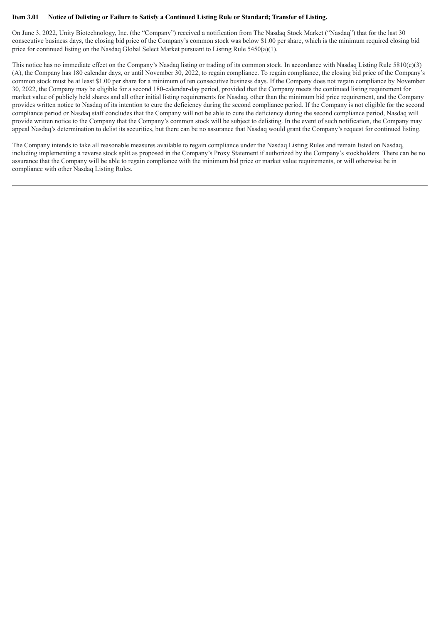#### Item 3.01 Notice of Delisting or Failure to Satisfy a Continued Listing Rule or Standard; Transfer of Listing.

On June 3, 2022, Unity Biotechnology, Inc. (the "Company") received a notification from The Nasdaq Stock Market ("Nasdaq") that for the last 30 consecutive business days, the closing bid price of the Company's common stock was below \$1.00 per share, which is the minimum required closing bid price for continued listing on the Nasdaq Global Select Market pursuant to Listing Rule 5450(a)(1).

This notice has no immediate effect on the Company's Nasdaq listing or trading of its common stock. In accordance with Nasdaq Listing Rule  $5810(c)(3)$ (A), the Company has 180 calendar days, or until November 30, 2022, to regain compliance. To regain compliance, the closing bid price of the Company's common stock must be at least \$1.00 per share for a minimum of ten consecutive business days. If the Company does not regain compliance by November 30, 2022, the Company may be eligible for a second 180-calendar-day period, provided that the Company meets the continued listing requirement for market value of publicly held shares and all other initial listing requirements for Nasdaq, other than the minimum bid price requirement, and the Company provides written notice to Nasdaq of its intention to cure the deficiency during the second compliance period. If the Company is not eligible for the second compliance period or Nasdaq staff concludes that the Company will not be able to cure the deficiency during the second compliance period, Nasdaq will provide written notice to the Company that the Company's common stock will be subject to delisting. In the event of such notification, the Company may appeal Nasdaq's determination to delist its securities, but there can be no assurance that Nasdaq would grant the Company's request for continued listing.

The Company intends to take all reasonable measures available to regain compliance under the Nasdaq Listing Rules and remain listed on Nasdaq, including implementing a reverse stock split as proposed in the Company's Proxy Statement if authorized by the Company's stockholders. There can be no assurance that the Company will be able to regain compliance with the minimum bid price or market value requirements, or will otherwise be in compliance with other Nasdaq Listing Rules.